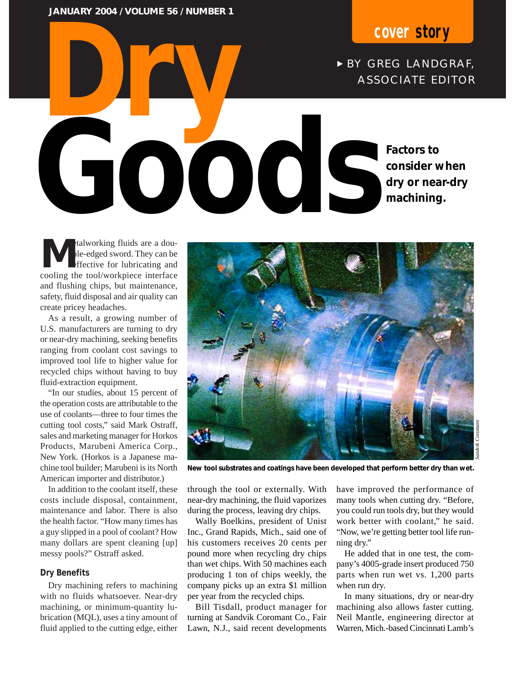**Dry JANUARY 2004 / VOLUME 56 / NUMBER 1**

# **cover story**

► BY GREG LANDGRAF, ASSOCIATE EDITOR

**Factors to** 

**machining.**

**consider when dry or near-dry** 

**M**etalworking fluids are a double-edged sword. They can be<br>effective for lubricating and<br>cooling the tool/workniece interface ble-edged sword. They can be effective for lubricating and cooling the tool/workpiece interface and flushing chips, but maintenance, safety, fluid disposal and air quality can create pricey headaches. **Good Coordinate Secure 2004** 

As a result, a growing number of U.S. manufacturers are turning to dry or near-dry machining, seeking benefits ranging from coolant cost savings to improved tool life to higher value for recycled chips without having to buy fluid-extraction equipment.

"In our studies, about 15 percent of the operation costs are attributable to the use of coolants—three to four times the cutting tool costs," said Mark Ostraff, sales and marketing manager for Horkos Products, Marubeni America Corp., New York. (Horkos is a Japanese machine tool builder; Marubeni is its North American importer and distributor.)

In addition to the coolant itself, these costs include disposal, containment, maintenance and labor. There is also the health factor. "How many times has a guy slipped in a pool of coolant? How many dollars are spent cleaning [up] messy pools?" Ostraff asked.

#### **Dry Benefits**

Dry machining refers to machining with no fluids whatsoever. Near-dry machining, or minimum-quantity lubrication (MQL), uses a tiny amount of fluid applied to the cutting edge, either



**New tool substrates and coatings have been developed that perform better dry than wet.**

through the tool or externally. With near-dry machining, the fluid vaporizes during the process, leaving dry chips.

Wally Boelkins, president of Unist Inc., Grand Rapids, Mich., said one of his customers receives 20 cents per pound more when recycling dry chips than wet chips. With 50 machines each producing 1 ton of chips weekly, the company picks up an extra \$1 million per year from the recycled chips.

Bill Tisdall, product manager for turning at Sandvik Coromant Co., Fair Lawn, N.J., said recent developments have improved the performance of many tools when cutting dry. "Before, you could run tools dry, but they would work better with coolant," he said. "Now, we're getting better tool life running dry."

He added that in one test, the company's 4005-grade insert produced 750 parts when run wet vs. 1,200 parts when run dry.

In many situations, dry or near-dry machining also allows faster cutting. Neil Mantle, engineering director at Warren, Mich.-based Cincinnati Lamb's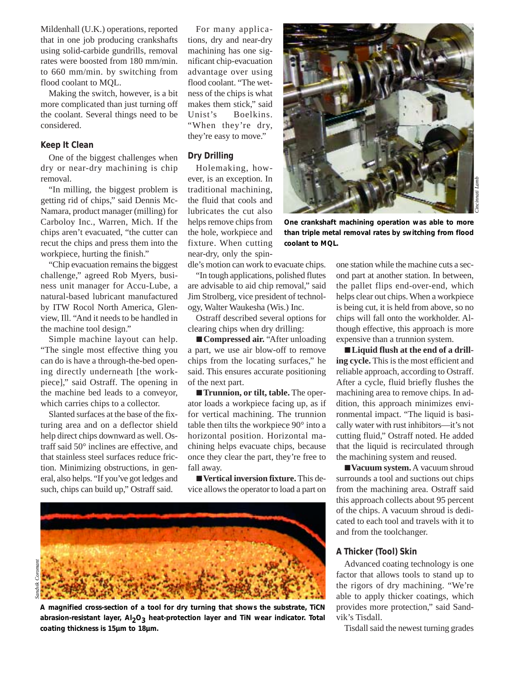Mildenhall (U.K.) operations, reported that in one job producing crankshafts using solid-carbide gundrills, removal rates were boosted from 180 mm/min. to 660 mm/min. by switching from flood coolant to MQL.

Making the switch, however, is a bit more complicated than just turning off the coolant. Several things need to be considered.

#### **Keep It Clean**

One of the biggest challenges when dry or near-dry machining is chip removal.

"In milling, the biggest problem is getting rid of chips," said Dennis Mc-Namara, product manager (milling) for Carboloy Inc., Warren, Mich. If the chips aren't evacuated, "the cutter can recut the chips and press them into the workpiece, hurting the finish."

"Chip evacuation remains the biggest challenge," agreed Rob Myers, business unit manager for Accu-Lube, a natural-based lubricant manufactured by ITW Rocol North America, Glenview, Ill. "And it needs to be handled in the machine tool design."

Simple machine layout can help. "The single most effective thing you can do is have a through-the-bed opening directly underneath [the workpiece]," said Ostraff. The opening in the machine bed leads to a conveyor, which carries chips to a collector.

Slanted surfaces at the base of the fixturing area and on a deflector shield help direct chips downward as well. Ostraff said 50° inclines are effective, and that stainless steel surfaces reduce friction. Minimizing obstructions, in general, also helps. "If you've got ledges and such, chips can build up," Ostraff said.

For many applications, dry and near-dry machining has one significant chip-evacuation advantage over using flood coolant. "The wetness of the chips is what makes them stick," said Unist's Boelkins. "When they're dry, they're easy to move."

### **Dry Drilling**

Holemaking, however, is an exception. In traditional machining, the fluid that cools and lubricates the cut also helps remove chips from the hole, workpiece and fixture. When cutting near-dry, only the spin-

dle's motion can work to evacuate chips.

"In tough applications, polished flutes are advisable to aid chip removal," said Jim Strolberg, vice president of technology, Walter Waukesha (Wis.) Inc.

Ostraff described several options for clearing chips when dry drilling:

■ **Compressed air.** "After unloading a part, we use air blow-off to remove chips from the locating surfaces," he said. This ensures accurate positioning of the next part.

■ **Trunnion, or tilt, table.** The operator loads a workpiece facing up, as if for vertical machining. The trunnion table then tilts the workpiece 90° into a horizontal position. Horizontal machining helps evacuate chips, because once they clear the part, they're free to fall away.

■ **Vertical inversion fixture.** This device allows the operator to load a part on



**A magnified cross-section of a tool for dry turning that shows the substrate, TiCN** abrasion-resistant layer, Al<sub>2</sub>O<sub>3</sub> heat-protection layer and TiN wear indicator. Total **coating thickness is 15µm to 18µm.**



**One crankshaft machining operation was able to more than triple metal removal rates by switching from flood coolant to MQL.**

one station while the machine cuts a second part at another station. In between, the pallet flips end-over-end, which helps clear out chips. When a workpiece is being cut, it is held from above, so no chips will fall onto the workholder. Although effective, this approach is more expensive than a trunnion system.

■ **Liquid flush at the end of a drilling cycle.** This is the most efficient and reliable approach, according to Ostraff. After a cycle, fluid briefly flushes the machining area to remove chips. In addition, this approach minimizes environmental impact. "The liquid is basically water with rust inhibitors—it's not cutting fluid," Ostraff noted. He added that the liquid is recirculated through the machining system and reused.

■ **Vacuum system.** A vacuum shroud surrounds a tool and suctions out chips from the machining area. Ostraff said this approach collects about 95 percent of the chips. A vacuum shroud is dedicated to each tool and travels with it to and from the toolchanger.

#### **A Thicker (Tool) Skin**

Advanced coating technology is one factor that allows tools to stand up to the rigors of dry machining. "We're able to apply thicker coatings, which provides more protection," said Sandvik's Tisdall.

Tisdall said the newest turning grades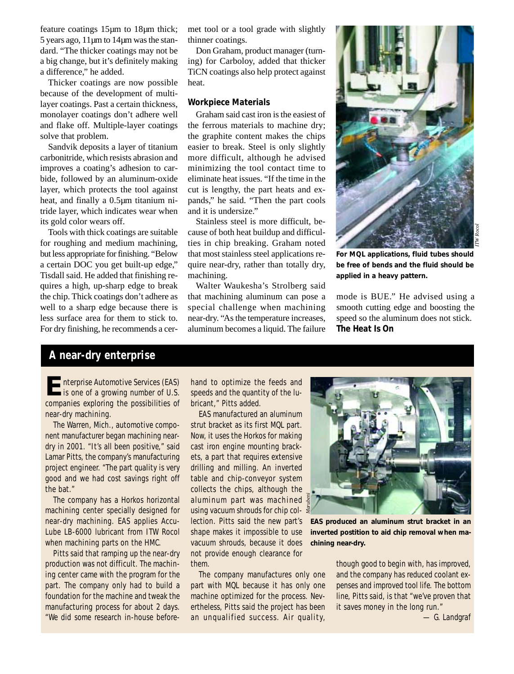feature coatings 15µm to 18µm thick; 5 years ago, 11µm to 14µm was the standard. "The thicker coatings may not be a big change, but it's definitely making a difference," he added.

Thicker coatings are now possible because of the development of multilayer coatings. Past a certain thickness, monolayer coatings don't adhere well and flake off. Multiple-layer coatings solve that problem.

Sandvik deposits a layer of titanium carbonitride, which resists abrasion and improves a coating's adhesion to carbide, followed by an aluminum-oxide layer, which protects the tool against heat, and finally a 0.5µm titanium nitride layer, which indicates wear when its gold color wears off.

Tools with thick coatings are suitable for roughing and medium machining, but less appropriate for finishing. "Below a certain DOC you get built-up edge," Tisdall said. He added that finishing requires a high, up-sharp edge to break the chip. Thick coatings don't adhere as well to a sharp edge because there is less surface area for them to stick to. For dry finishing, he recommends a cermet tool or a tool grade with slightly thinner coatings.

Don Graham, product manager (turning) for Carboloy, added that thicker TiCN coatings also help protect against heat.

#### **Workpiece Materials**

Graham said cast iron is the easiest of the ferrous materials to machine dry; the graphite content makes the chips easier to break. Steel is only slightly more difficult, although he advised minimizing the tool contact time to eliminate heat issues. "If the time in the cut is lengthy, the part heats and expands," he said. "Then the part cools and it is undersize."

Stainless steel is more difficult, because of both heat buildup and difficulties in chip breaking. Graham noted that most stainless steel applications require near-dry, rather than totally dry, machining.

Walter Waukesha's Strolberg said that machining aluminum can pose a special challenge when machining near-dry. "As the temperature increases, aluminum becomes a liquid. The failure



**For MQL applications, fluid tubes should be free of bends and the fluid should be applied in a heavy pattern.** 

mode is BUE." He advised using a smooth cutting edge and boosting the speed so the aluminum does not stick. **The Heat Is On**

## **A near-dry enterprise**

**E**nterprise Automotive Services (EAS)<br>is one of a growing number of U.S. companies exploring the possibilities of near-dry machining.

The Warren, Mich., automotive component manufacturer began machining neardry in 2001. "It's all been positive," said Lamar Pitts, the company's manufacturing project engineer. "The part quality is very good and we had cost savings right off the bat."

The company has a Horkos horizontal machining center specially designed for near-dry machining. EAS applies Accu-Lube LB-6000 lubricant from ITW Rocol when machining parts on the HMC.

Pitts said that ramping up the near-dry production was not difficult. The machining center came with the program for the part. The company only had to build a foundation for the machine and tweak the manufacturing process for about 2 days. "We did some research in-house beforehand to optimize the feeds and speeds and the quantity of the lubricant," Pitts added.

EAS manufactured an aluminum strut bracket as its first MQL part. Now, it uses the Horkos for making cast iron engine mounting brackets, a part that requires extensive drilling and milling. An inverted table and chip-conveyor system collects the chips, although the aluminum part was machined using vacuum shrouds for chip collection. Pitts said the new part's shape makes it impossible to use vacuum shrouds, because it does not provide enough clearance for them.

The company manufactures only one part with MQL because it has only one machine optimized for the process. Nevertheless, Pitts said the project has been an unqualified success. Air quality,



**EAS produced an aluminum strut bracket in an inverted postition to aid chip removal when machining near-dry.**

though good to begin with, has improved, and the company has reduced coolant expenses and improved tool life. The bottom line, Pitts said, is that "we've proven that it saves money in the long run."

*— G. Landgraf*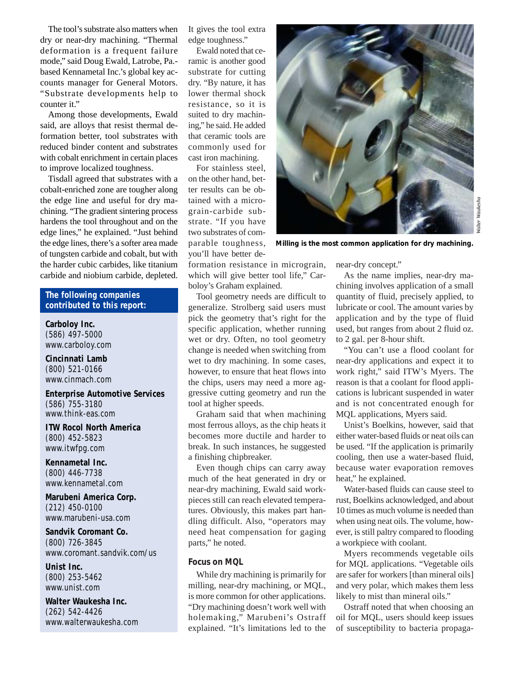The tool's substrate also matters when dry or near-dry machining. "Thermal deformation is a frequent failure mode," said Doug Ewald, Latrobe, Pa. based Kennametal Inc.'s global key accounts manager for General Motors. "Substrate developments help to counter it."

Among those developments, Ewald said, are alloys that resist thermal deformation better, tool substrates with reduced binder content and substrates with cobalt enrichment in certain places to improve localized toughness.

Tisdall agreed that substrates with a cobalt-enriched zone are tougher along the edge line and useful for dry machining. "The gradient sintering process hardens the tool throughout and on the edge lines," he explained. "Just behind the edge lines, there's a softer area made of tungsten carbide and cobalt, but with the harder cubic carbides, like titanium carbide and niobium carbide, depleted.

#### **The following companies contributed to this report:**

**Carboloy Inc.** (586) 497-5000 www.carboloy.com

**Cincinnati Lamb** (800) 521-0166 www.cinmach.com

**Enterprise Automotive Services** (586) 755-3180 www.think-eas.com

**ITW Rocol North America** (800) 452-5823 www.itwfpg.com

**Kennametal Inc.** (800) 446-7738 www.kennametal.com

**Marubeni America Corp.** (212) 450-0100 www.marubeni-usa.com

**Sandvik Coromant Co.** (800) 726-3845 www.coromant.sandvik.com/us

**Unist Inc.** (800) 253-5462 www.unist.com

**Walter Waukesha Inc.** (262) 542-4426 www.walterwaukesha.com It gives the tool extra edge toughness."

Ewald noted that ceramic is another good substrate for cutting dry. "By nature, it has lower thermal shock resistance, so it is suited to dry machining," he said. He added that ceramic tools are commonly used for cast iron machining.

For stainless steel, on the other hand, better results can be obtained with a micrograin-carbide substrate. "If you have two substrates of comparable toughness, you'll have better de-



*Walter Waukesha*

**Milling is the most common application for dry machining.** 

formation resistance in micrograin, which will give better tool life," Carboloy's Graham explained.

Tool geometry needs are difficult to generalize. Strolberg said users must pick the geometry that's right for the specific application, whether running wet or dry. Often, no tool geometry change is needed when switching from wet to dry machining. In some cases, however, to ensure that heat flows into the chips, users may need a more aggressive cutting geometry and run the tool at higher speeds.

Graham said that when machining most ferrous alloys, as the chip heats it becomes more ductile and harder to break. In such instances, he suggested a finishing chipbreaker.

Even though chips can carry away much of the heat generated in dry or near-dry machining, Ewald said workpieces still can reach elevated temperatures. Obviously, this makes part handling difficult. Also, "operators may need heat compensation for gaging parts," he noted.

#### **Focus on MQL**

While dry machining is primarily for milling, near-dry machining, or MQL, is more common for other applications. "Dry machining doesn't work well with holemaking," Marubeni's Ostraff explained. "It's limitations led to the near-dry concept."

As the name implies, near-dry machining involves application of a small quantity of fluid, precisely applied, to lubricate or cool. The amount varies by application and by the type of fluid used, but ranges from about 2 fluid oz. to 2 gal. per 8-hour shift.

"You can't use a flood coolant for near-dry applications and expect it to work right," said ITW's Myers. The reason is that a coolant for flood applications is lubricant suspended in water and is not concentrated enough for MQL applications, Myers said.

Unist's Boelkins, however, said that either water-based fluids or neat oils can be used. "If the application is primarily cooling, then use a water-based fluid, because water evaporation removes heat," he explained.

Water-based fluids can cause steel to rust, Boelkins acknowledged, and about 10 times as much volume is needed than when using neat oils. The volume, however, is still paltry compared to flooding a workpiece with coolant.

Myers recommends vegetable oils for MQL applications. "Vegetable oils are safer for workers [than mineral oils] and very polar, which makes them less likely to mist than mineral oils."

Ostraff noted that when choosing an oil for MQL, users should keep issues of susceptibility to bacteria propaga